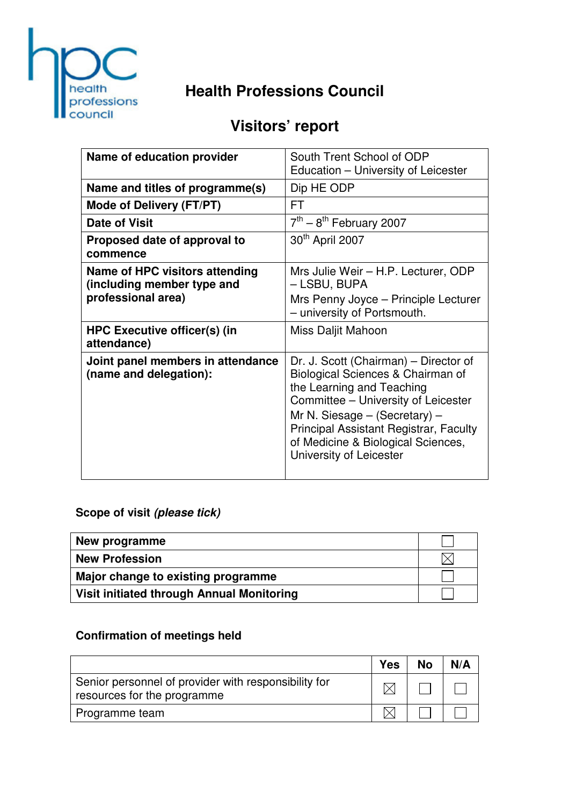

# **Health Professions Council**

# **Visitors' report**

| Name of education provider                                                         | South Trent School of ODP<br>Education – University of Leicester                                                                                                                                                                                                                               |
|------------------------------------------------------------------------------------|------------------------------------------------------------------------------------------------------------------------------------------------------------------------------------------------------------------------------------------------------------------------------------------------|
| Name and titles of programme(s)                                                    | Dip HE ODP                                                                                                                                                                                                                                                                                     |
| Mode of Delivery (FT/PT)                                                           | FT                                                                                                                                                                                                                                                                                             |
| <b>Date of Visit</b>                                                               | $7th - 8th$ February 2007                                                                                                                                                                                                                                                                      |
| Proposed date of approval to<br>commence                                           | 30 <sup>th</sup> April 2007                                                                                                                                                                                                                                                                    |
| Name of HPC visitors attending<br>(including member type and<br>professional area) | Mrs Julie Weir - H.P. Lecturer, ODP<br>– LSBU, BUPA<br>Mrs Penny Joyce - Principle Lecturer<br>- university of Portsmouth.                                                                                                                                                                     |
| <b>HPC Executive officer(s) (in</b><br>attendance)                                 | Miss Daljit Mahoon                                                                                                                                                                                                                                                                             |
| Joint panel members in attendance<br>(name and delegation):                        | Dr. J. Scott (Chairman) – Director of<br>Biological Sciences & Chairman of<br>the Learning and Teaching<br>Committee - University of Leicester<br>Mr N. Siesage $-$ (Secretary) $-$<br>Principal Assistant Registrar, Faculty<br>of Medicine & Biological Sciences,<br>University of Leicester |

## **Scope of visit (please tick)**

| New programme                             |  |
|-------------------------------------------|--|
| <b>New Profession</b>                     |  |
| Major change to existing programme        |  |
| Visit initiated through Annual Monitoring |  |

## **Confirmation of meetings held**

|                                                                                     | <b>Yes</b> | <b>No</b> | N/A |
|-------------------------------------------------------------------------------------|------------|-----------|-----|
| Senior personnel of provider with responsibility for<br>resources for the programme |            |           |     |
| Programme team                                                                      |            |           |     |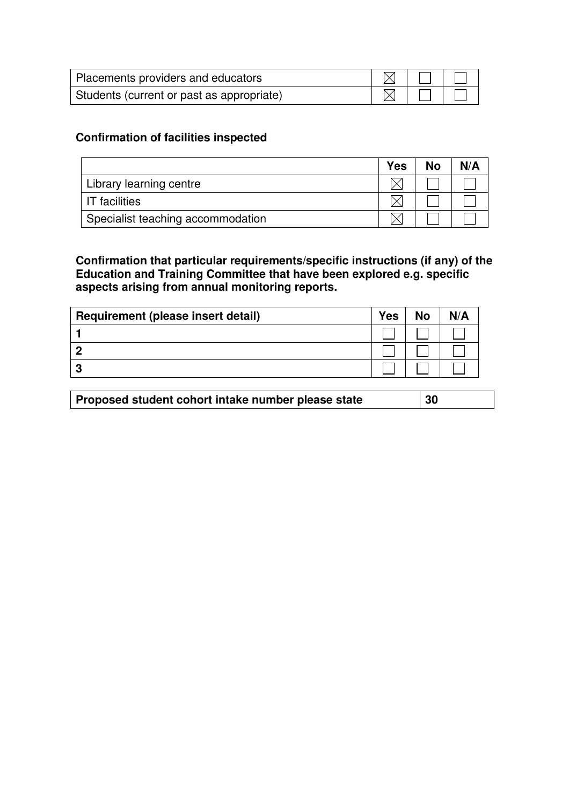| Placements providers and educators        |  |  |
|-------------------------------------------|--|--|
| Students (current or past as appropriate) |  |  |

### **Confirmation of facilities inspected**

|                                   | <b>Yes</b> | No | N/A |
|-----------------------------------|------------|----|-----|
| Library learning centre           |            |    |     |
| <b>IT</b> facilities              |            |    |     |
| Specialist teaching accommodation |            |    |     |

**Confirmation that particular requirements/specific instructions (if any) of the Education and Training Committee that have been explored e.g. specific aspects arising from annual monitoring reports.** 

| Requirement (please insert detail) | <b>Yes</b> | <b>No</b> | N/A |
|------------------------------------|------------|-----------|-----|
|                                    |            |           |     |
|                                    |            |           |     |
| Ð                                  |            |           |     |

|--|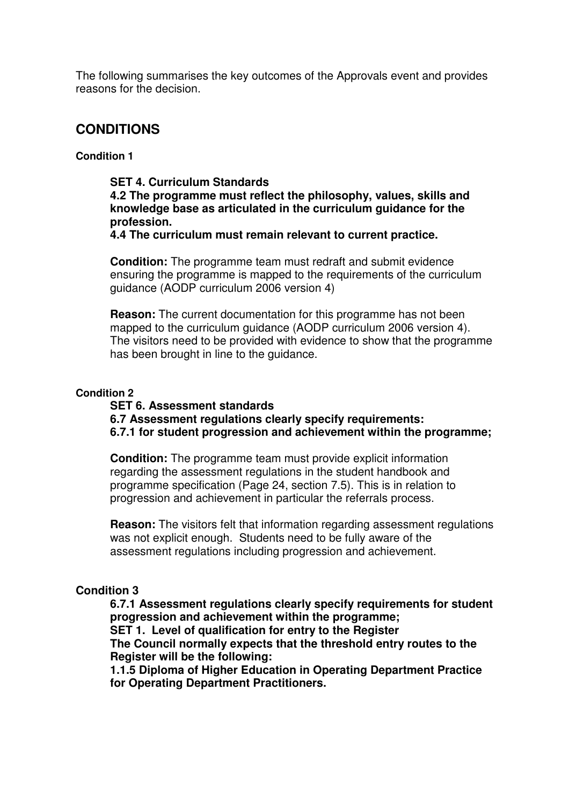The following summarises the key outcomes of the Approvals event and provides reasons for the decision.

### **CONDITIONS**

#### **Condition 1**

#### **SET 4. Curriculum Standards**

**4.2 The programme must reflect the philosophy, values, skills and knowledge base as articulated in the curriculum guidance for the profession.** 

**4.4 The curriculum must remain relevant to current practice.** 

**Condition:** The programme team must redraft and submit evidence ensuring the programme is mapped to the requirements of the curriculum guidance (AODP curriculum 2006 version 4)

**Reason:** The current documentation for this programme has not been mapped to the curriculum guidance (AODP curriculum 2006 version 4). The visitors need to be provided with evidence to show that the programme has been brought in line to the guidance.

#### **Condition 2**

#### **SET 6. Assessment standards**

**6.7 Assessment regulations clearly specify requirements:** 

**6.7.1 for student progression and achievement within the programme;** 

**Condition:** The programme team must provide explicit information regarding the assessment regulations in the student handbook and programme specification (Page 24, section 7.5). This is in relation to progression and achievement in particular the referrals process.

**Reason:** The visitors felt that information regarding assessment regulations was not explicit enough. Students need to be fully aware of the assessment regulations including progression and achievement.

#### **Condition 3**

**6.7.1 Assessment regulations clearly specify requirements for student progression and achievement within the programme;** 

**SET 1. Level of qualification for entry to the Register** 

**The Council normally expects that the threshold entry routes to the Register will be the following:** 

**1.1.5 Diploma of Higher Education in Operating Department Practice for Operating Department Practitioners.**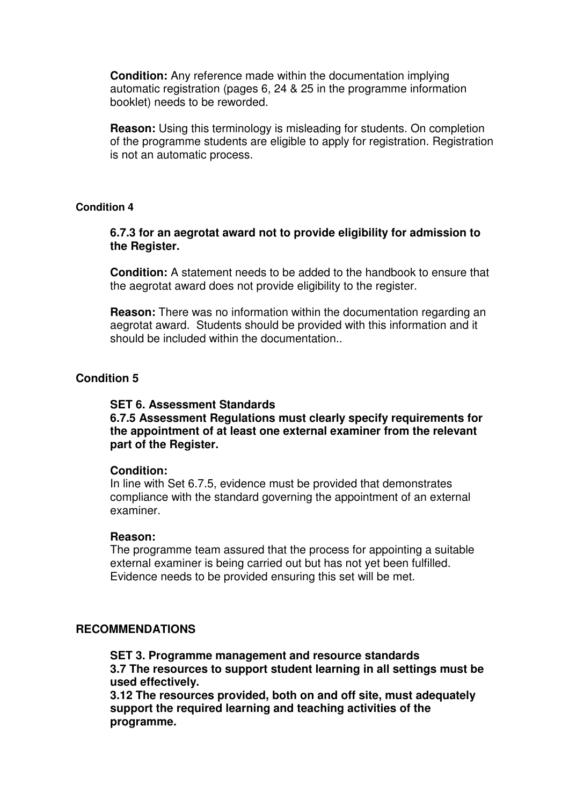**Condition:** Any reference made within the documentation implying automatic registration (pages 6, 24 & 25 in the programme information booklet) needs to be reworded.

**Reason:** Using this terminology is misleading for students. On completion of the programme students are eligible to apply for registration. Registration is not an automatic process.

#### **Condition 4**

#### **6.7.3 for an aegrotat award not to provide eligibility for admission to the Register.**

**Condition:** A statement needs to be added to the handbook to ensure that the aegrotat award does not provide eligibility to the register.

**Reason:** There was no information within the documentation regarding an aegrotat award. Students should be provided with this information and it should be included within the documentation..

#### **Condition 5**

#### **SET 6. Assessment Standards**

#### **6.7.5 Assessment Regulations must clearly specify requirements for the appointment of at least one external examiner from the relevant part of the Register.**

#### **Condition:**

In line with Set 6.7.5, evidence must be provided that demonstrates compliance with the standard governing the appointment of an external examiner.

#### **Reason:**

The programme team assured that the process for appointing a suitable external examiner is being carried out but has not yet been fulfilled. Evidence needs to be provided ensuring this set will be met.

#### **RECOMMENDATIONS**

**SET 3. Programme management and resource standards 3.7 The resources to support student learning in all settings must be used effectively.** 

**3.12 The resources provided, both on and off site, must adequately support the required learning and teaching activities of the programme.**